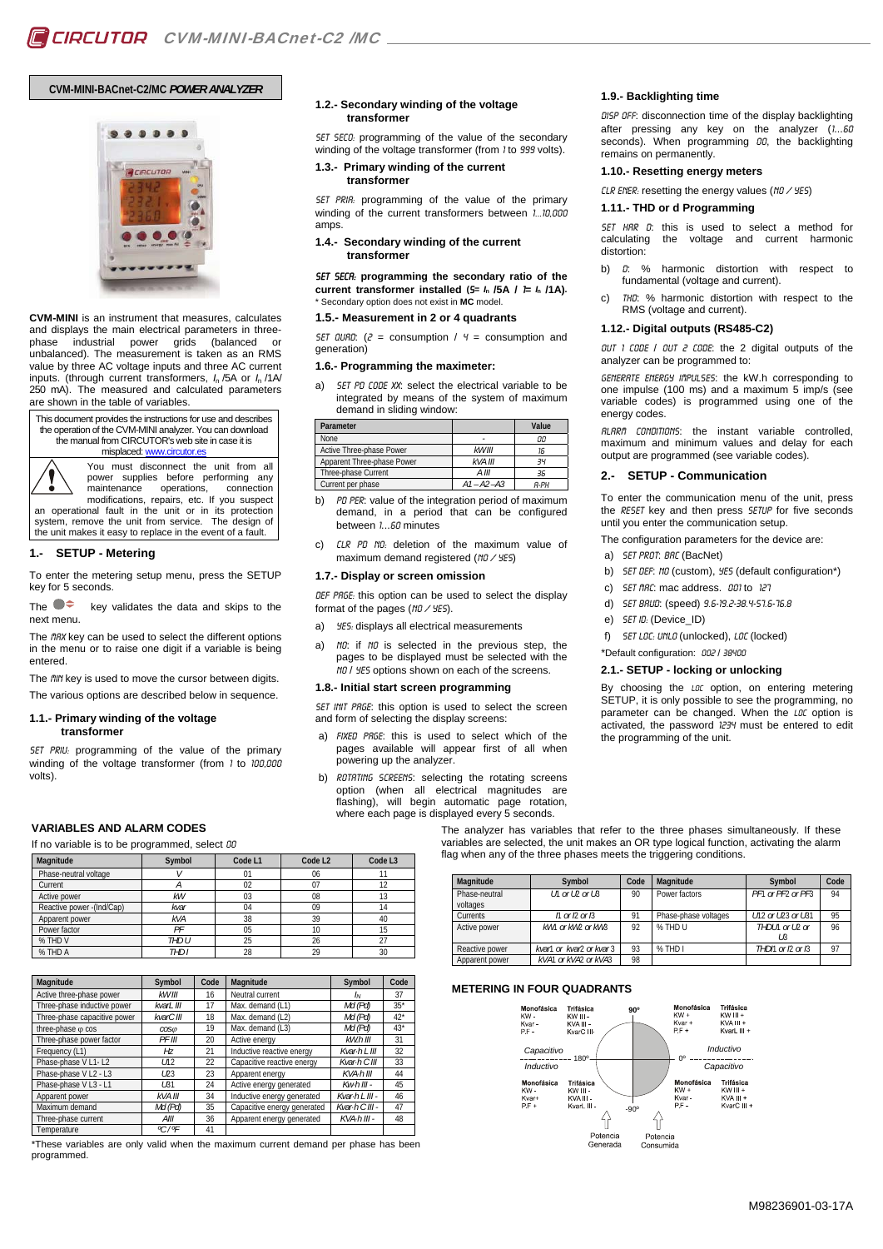# **CVM-MINI-BACnet-C2/MC** *POWER ANALYZER*



**CVM-MINI** is an instrument that measures, calculates and displays the main electrical parameters in threephase industrial power grids (balanced or unbalanced). The measurement is taken as an RMS value by three AC voltage inputs and three AC current inputs. (through current transformers, *I*<sup>n</sup> /5A or *I*<sup>n</sup> /1A/ 250 mA). The measured and calculated parameters are shown in the table of variables.

This document provides the instructions for use and describes the operation of the CVM-MINI analyzer. You can download the manual from CIRCUTOR's web site in case it is misplaced: www.circutor.es

> You must disconnect the unit from all power supplies before performing any maintenance operations, connection modifications, repairs, etc. If you suspect

an operational fault in the unit or in its protection system, remove the unit from service. The design of the unit makes it easy to replace in the event of a fault.

# **1.- SETUP - Metering**

To enter the metering setup menu, press the SETUP key for 5 seconds.

The  $\bullet\bullet\bullet$  key validates the data and skips to the next menu.

The fIRX key can be used to select the different options in the menu or to raise one digit if a variable is being entered.

The *fill'i* key is used to move the cursor between digits. The various options are described below in sequence.

#### **1.1.- Primary winding of the voltage transformer**

SET PRIU: programming of the value of the primary winding of the voltage transformer (from 1 to 100,000 volts).

#### **1.2.- Secondary winding of the voltage transformer**

SET SECO: programming of the value of the secondary winding of the voltage transformer (from 1 to 999 volts).

## **1.3.- Primary winding of the current transformer**

SET PRIR: programming of the value of the primary winding of the current transformers between 1...10,000 amps.

## **1.4.- Secondary winding of the current transformer**

SET SecA: **programming the secondary ratio of the current transformer installed**  $(5 = 1/25)$  **/**  $(5 - 1/25)$  **/**  $(1 - 1/25)$ **.** Secondary option does not exist in **MC** model

#### **1.5.- Measurement in 2 or 4 quadrants**

SET QUAD:  $(2 = \text{consumption} / 4 = \text{consumotion}$ generation)

## **1.6.- Programming the maximeter:**

a) SET PD CODE XX: select the electrical variable to be integrated by means of the system of maximum demand in sliding window:

| Parameter                  |                | Value       |
|----------------------------|----------------|-------------|
| None                       |                | 00          |
| Active Three-phase Power   | kW III         | 16          |
| Apparent Three-phase Power | kVA III        | -34         |
| Three-phase Current        | $A$ III        | 36          |
| Current per phase          | $A1 - A2 - A3$ | <b>8-PH</b> |

- b) PD PER: value of the integration period of maximum demand, in a period that can be configured between 1...60 minutes
- CLR PD NO: deletion of the maximum value of maximum demand registered ( $n0 / 95$ )

## **1.7.- Display or screen omission**

DEF PRGE: this option can be used to select the display format of the pages ( $\frac{10}{45}$ ).

- a) *YES:* displays all electrical measurements
- a) No: if No is selected in the previous step, the pages to be displayed must be selected with the no / yES options shown on each of the screens.

## **1.8.- Initial start screen programming**

SET INIT PRGE: this option is used to select the screen and form of selecting the display screens:

- a) FIXED PRGE: this is used to select which of the pages available will appear first of all when powering up the analyzer.
- b) ROTATING SCREENS: selecting the rotating screens option (when all electrical magnitudes are flashing), will begin automatic page rotation, where each page is displayed every 5 seconds.

## **1.9.- Backlighting time**

DISP OFF: disconnection time of the display backlighting after pressing any key on the analyzer (1...60 seconds). When programming 00, the backlighting remains on permanently.

# **1.10.- Resetting energy meters**

CLR ENER: resetting the energy values ( $NO / 9E5$ )

#### **1.11.- THD or d Programming**

SET HRR D: this is used to select a method for calculating the voltage and current harmonic distortion:

- b)  $\theta$ : % harmonic distortion with respect to fundamental (voltage and current).
- c) Thd: % harmonic distortion with respect to the RMS (voltage and current).

#### **1.12.- Digital outputs (RS485-C2)**

OUT 1 CODE / OUT 2 CODE: the 2 digital outputs of the analyzer can be programmed to:

Generate energy impulses: the kW.h corresponding to one impulse (100 ms) and a maximum 5 imp/s (see variable codes) is programmed using one of the energy codes.

Alarm conditions: the instant variable controlled, maximum and minimum values and delay for each output are programmed (see variable codes).

# **2.- SETUP - Communication**

To enter the communication menu of the unit, press the RESET key and then press SETUP for five seconds until you enter the communication setup.

The configuration parameters for the device are:

- a) SET PROT: BRC (BacNet)
- b) SET DEF: NO (custom), YES (default configuration\*)
	- c) SET MAC: mac address. 001 to 127
	- d) SET BRUD: (speed) 9.6-19.2-38.4-57.6-76.8
- e) SET ID: (Device ID)
- f) SET LOC: UNLO (unlocked), LOC (locked)
- \*Default configuration: 002 / 38400

## **2.1.- SETUP - locking or unlocking**

By choosing the LOC option, on entering metering SETUP, it is only possible to see the programming, no parameter can be changed. When the LOC option is activated, the password 1234 must be entered to edit the programming of the unit.

# **VARIABLES AND ALARM CODES**

If no variable is to be programmed, select 00

| Magnitude                  | Symbol     | Code L1 | Code L <sub>2</sub> | Code L <sub>3</sub> |
|----------------------------|------------|---------|---------------------|---------------------|
| Phase-neutral voltage      |            | 01      | 06                  |                     |
| Current                    |            | 02      | 07                  | 12                  |
| Active power               | kW         | 03      | 08                  | 13                  |
| Reactive power - (Ind/Cap) | kvar       | 04      | 09                  | 14                  |
| Apparent power             | <b>kVA</b> | 38      | 39                  | 40                  |
| Power factor               | РF         | 05      | 10                  | 15                  |
| % THD V                    | THD U      | 25      | 26                  | 27                  |
| % THD A                    | THD I      | 28      | 29                  | 30                  |

| Magnitude                    | Symbol          | Code | Magnitude                   | Symbol             | Code   |
|------------------------------|-----------------|------|-----------------------------|--------------------|--------|
| Active three-phase power     | kWIII           | 16   | Neutral current             | ΙN                 | 37     |
| Three-phase inductive power  | kvarL III       | 17   | Max. demand (L1)            | Md (Pd)            | $35*$  |
| Three-phase capacitive power | kvarC III       | 18   | Max. demand (L2)            | Md (Pd)            | $42^*$ |
| three-phase o cos            | $\cos \omega$   | 19   | Max. demand (L3)            | Md (Pd)            | $43*$  |
| Three-phase power factor     | PF III          | 20   | Active energy               | $kW.h$ III         | 31     |
| Frequency (L1)               | HZ              | 21   | Inductive reactive energy   | Kvar-h L III       | 32     |
| Phase-phase V L1-L2          | U12             | 22   | Capacitive reactive energy  | Kvar-h C III       | 33     |
| Phase-phase V L2 - L3        | LD3             | 23   | Apparent energy             | KVA-h III          | 44     |
| Phase-phase V L3 - L1        | L31             | 24   | Active energy generated     | $Kw \cdot h$ III - | 45     |
| Apparent power               | kVA III         | 34   | Inductive energy generated  | Kvar-h L III -     | 46     |
| Maximum demand               | $Md$ ( $Pd$ )   | 35   | Capacitive energy generated | Kvar-h C III -     | 47     |
| Three-phase current          | AIII            | 36   | Apparent energy generated   | $KVA\cdot h$ III - | 48     |
| Temperature                  | $\frac{9C}{9F}$ | 41   |                             |                    |        |

\*These variables are only valid when the maximum current demand per phase has been programmed.

The analyzer has variables that refer to the three phases simultaneously. If these variables are selected, the unit makes an OR type logical function, activating the alarm flag when any of the three phases meets the triggering conditions.

| Magnitude                 | Symbol                             | Code | Magnitude            | Symbol                | Code |
|---------------------------|------------------------------------|------|----------------------|-----------------------|------|
|                           |                                    |      |                      |                       |      |
| Phase-neutral<br>voltages | $1/1$ or $1/2$ or $1/3$            | 90   | Power factors        | PF1 or PF2 or PF3     | 94   |
| Currents                  | $\Lambda$ or $\Omega$ or $\Lambda$ | 91   | Phase-phase voltages | U12 or U23 or U31     | 95   |
| Active power              | kW1 or kW2 or kW3                  | 92   | % THD U              | THDIN or ID or<br>I ß | 96   |
| Reactive power            | kvar1 or kvar2 or kvar3            | 93   | % THD I              | THDN or I2 or I3      | 97   |
| Apparent power            | kVA1 or kVA2 or kVA3               | 98   |                      |                       |      |

#### **METERING IN FOUR QUADRANTS**